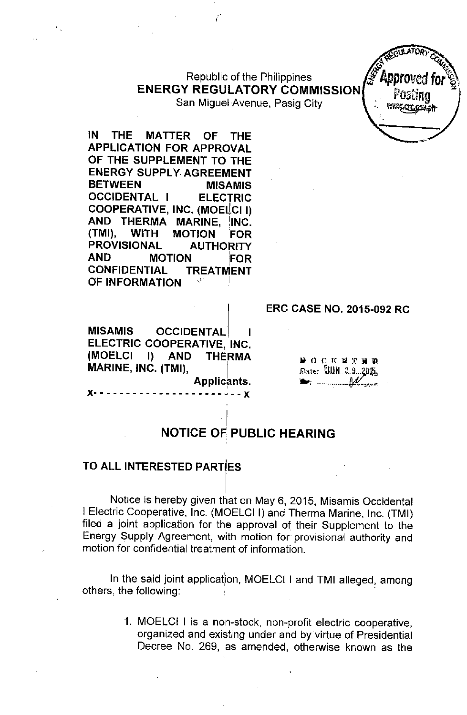Republic of the Philippines J<sup>g</sup> **Approv** ENERGY REGULATORY COMMISSION  $\int_{0}^{\infty}$  .  $\frac{1}{2}$   $\int_{0}^{\infty}$   $\int_{0}^{\infty}$ 

San Miguel Avenue, Pasig City.

IN THE MATTER OF THE APPLICATION FOR APPROVAL OF THE SUPPLEMENT TO THE ENERGY SUPPLY AGREEMENT BETWEEN MISAMIS OCCIDENTAL I ELECTRIC COOPERATIVE, INC. (MOELCIII) AND THERMA MARINE, INC. (TMI), WITH MOTION FOR PROVISIONAL AUTHORITY AND MOTION iFOR CONFIDENTIAL TREATMENT OF INFORMATION

MISAMIS OCCIDENTAL ELECTRIC COOPERATIVE, INC. (MOELCI I) AND THERMA MARINE, INC. (TMI), Applicant

x- - - - - - - - - - - - - - - - - - - - - - - x

**DOCKNTHE** Date: UUN 2.9 2015,  $\blacktriangleright$   $\ldots$   $\mathcal{M}$ 

ERC CASE NO. 2015-092 RC

~. IVTOIly *cq*

www.cic.com.ek

*f <i>f a <i>f <i>f <i>a <i>f <i>f <i>f <i>f <i>f <i>f <i>f <i>f <i>f <i>f <i>f <i>f <i><i>f <i><i>f <i>f <i>f <i><i>f <i>f <i><i>f <i><i>f <i>f <i>* 

#### I NOTICE OF PUBLIC HEARING

## TO ALL INTERESTED PARTiES

Notice is hereby given that on May 6, 2015, Misamis Occidental I Electric Cooperative, Inc. (MOELCI I) and Therma Marine, Inc. (TMI) filed a joint application for the approval of their Supplement to the Energy Supply Agreement, with motion for provisional authority and motion for confidential treatment of information.

 $\vert$ 

In the said joint application, MOELCI I and TMI alleged, among others, the following:

> 1. MOELCI I is a non-stock, non-profit electric cooperative, organized and existing under and by virtue of Presidential Decree No. 269, as amended, otherwise known as the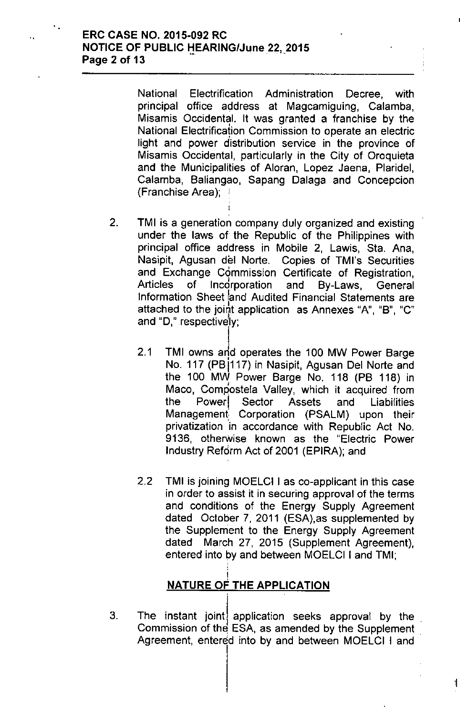National Electrification Administration Decree, with principal office address at Magcamiguing, Calamba, Misamis Occidental. It was granted a franchise by the National Electrification Commission to operate an electric light and power distribution service in the province of Misamis Occidental, particularly in the City of Oroquieta and the Municipalities of Aloran, Lopez Jaena, Plaridel, Calamba, Baliangao, Sapang Dalaga and Concepcion (Franchise Area); )

2. TMI is a generation company duly organized and existing under the laws of the Republic of the Philippines with principal office address in Mobile 2, Lawis, Sta. Ana, Nasipit, Agusan del Norte. Copies of TMl's Securities and Exchange Commission Certificate of Registration, Articles of Incdrporation and By-Laws, General Information Sheet land Audited Financial Statements are attached to the joint application as Annexes "A", "B", "C" and "D," respectively;

I

- 2.1 TMI owns and operates the 100 MW Power Barge No. 117 (PB1117) in Nasipit, Agusan Del Norte and the 100 MW Power Barge No. 118 (PB 118) in Maco, Compostela Valley, which it acquired from the Power Sector Assets and Liabilities Management Corporation (PSALM) upon their privatization 'in accordance with Republic Act No. 9136, otherwise known as the "Electric Power Industry Reform Act of 2001 (EPIRA); and
- 2.2 TMI is joining MOELCI I as co-applicant in this case in order to assist it in securing approval of the terms and conditions of the Energy Supply Agreement dated October 7, 2011 (ESA),as supplemented by the Supplernent to the Energy Supply Agreement dated March 27, 2015 (Supplement Agreement), entered into by and between MOELCI I and TMI;

#### ! <u>NATURE OF THE APPLICATIO</u>

3. The instant joint! application seeks approval by the Commission of the ESA, as amended by the Supplement Agreement, entered into by and between MOELCI I and

1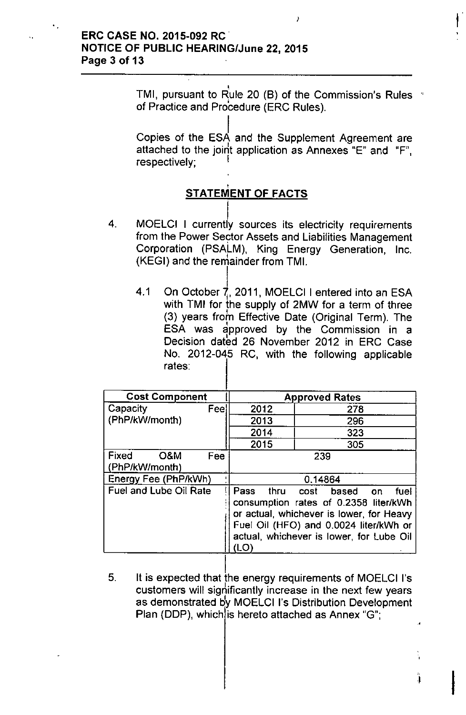TMI, pursuant to Rule 20 (B) of the Commission's Rules of Practice and Procedure (ERC Rules).

I

I Copies of the ESA and the Supplement Agreement are attached to the joirit application as Annexes "E" and "F", respectively;

# , <u>STATEMENT OF FACTS</u>

- $\lfloor$ 4. MOELCI I currently sources its electricity requirements from the Power Sector Assets and Liabilities Management Corporation (PSALM), King Energy Generation, Inc. (KEGI) and the renlainder from TMI.
	- I 4.1 On October 7, 2011, MOELCI I entered into an ESA with TMI for the supply of 2MW for a term of three (3) years from Effective Date (Original Term). The ESA was approved by the Commission in a Decision dated 26 November 2012 in ERC Case No. 2012-045 RC, with the following applicable rates:

| <b>Cost Component</b>          |      | <b>Approved Rates</b>                                                                                                                                                                                                 |     |  |
|--------------------------------|------|-----------------------------------------------------------------------------------------------------------------------------------------------------------------------------------------------------------------------|-----|--|
| Capacity                       | Feel | 2012                                                                                                                                                                                                                  | 278 |  |
| (PhP/kW/month)                 |      | 2013                                                                                                                                                                                                                  | 296 |  |
|                                |      | 2014                                                                                                                                                                                                                  | 323 |  |
|                                |      | 2015                                                                                                                                                                                                                  | 305 |  |
| Fixed<br>O&M<br>(PhP/kW/month) | Fee  | 239                                                                                                                                                                                                                   |     |  |
| Energy Fee (PhP/kWh)           |      | 0.14864                                                                                                                                                                                                               |     |  |
| Fuel and Lube Oil Rate         |      | Pass<br>thru cost based on<br>fuel<br>consumption rates of 0.2358 liter/kWh<br>or actual, whichever is lower, for Heavy<br>Fuel Oil (HFO) and 0.0024 liter/kWh or<br>actual, whichever is lower, for Lube Oil<br>(LO) |     |  |

ļ. 5. It is expected that the energy requirements of MOELCI I's customers will significantly increase in the next few years as demonstrated by MOELCI I's Distribution Development Plan (DDP), which is hereto attached as Annex "G";

,

 $\mathbf{i}$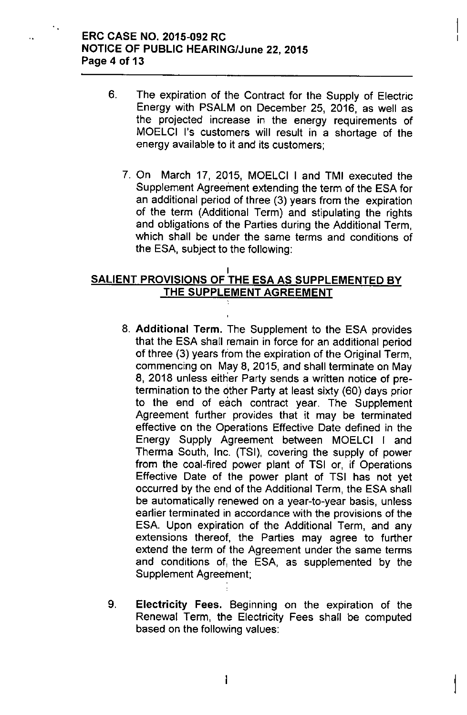## ERC CASE NO. 2015-092 RC NOTICE OF PUBLIC HEARING/June 22,2015 Page 4 of 13

 $\ddot{\phantom{a}}$  ,

- 6. The expiration of the Contract for the Supply of Electric Energy with PSALM on December 25, 2016, as well as the projected increase in the energy requirements of MOELCI I's customers will result in a shortage of the energy available to it and its customers;
	- 7. On March 17, 2015, MOELCI I and TMI executed the Supplement Agreement extending the term of the ESA for an additional period of three (3) years from the expiration of the term (Additional Term) and stipulating the rights and obligations of the Parties during the Additional Term, which shall be under the same terms and conditions of the ESA, subject to the following:

### I SALIENT PROVISIONS OF THE ESA AS SUPPLEMENTED BY THE SUPPLEMENT AGREEMENT

- 8. Additional Term. The Supplement to the ESA provides that the ESA shall remain in force for an additional period of three (3) years from the expiration of the Original Term, commencing on May 8, 2015, and shall terminate on May 8, 2018 unless either Party sends a written notice of pretermination to the either Party at least sixty (60) days prior to the end of each contract year. The Supplement Agreement further provides that it may be terminated effective on the Operations Effective Date defined in the Energy Supply Agreement between MOELCI I and Therma South, Inc. (TSI), covering the supply of power from the coal-fired power plant of TSI or, if Operations Effective Date of the power plant of TSI has not yet occurred by the end of the Additional Term, the ESA shall be automatically renewed on a year-to-year basis, unless earlier terminated in accordance with the provisions of the ESA. Upon expiration of the Additional Term, and any extensions thereof, the Parties may agree to further extend the term of the Agreement under the same terms and conditions of, the ESA, as supplemented by the Supplement Agreement;
- 9. Electricity Fees. Beginning on the expiration of the Renewal Term, the Electricity Fees shall be computed based on the following values: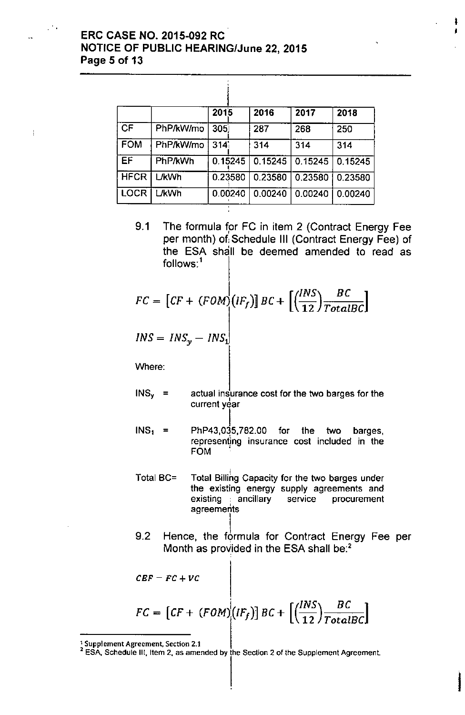# ERC CASE NO. 2015-092 RC **NOTICE OF PUBLIC HEARING/June 22, 2015** Page 5 of 13

 $\mathcal{F}_{\mathcal{A}}$ 

 $\mathop{!}\limits^{\dagger}$ 

|             |              | 2015             | 2016    | 2017    | 2018    |
|-------------|--------------|------------------|---------|---------|---------|
| <b>CF</b>   | PhP/kW/mo    | 305 <sub>1</sub> | 287     | 268     | 250     |
| <b>FOM</b>  | PhP/kW/mo    | 314 <sup>1</sup> | 314     | 314     | 314     |
| EF.         | PhP/kWh      | 0.15245          | 0.15245 | 0.15245 | 0.15245 |
| <b>HFCR</b> | <b>L/kWh</b> | 0.23580          | 0.23580 | 0.23580 | 0.23580 |
| <b>LOCR</b> | ∟⁄kWh        | 0.00240          | 0.00240 | 0.00240 | 0.00240 |

ţ

9.1 The formula for FC in item 2 (Contract Energy Fee per month) of:Schedule III (Contract Energy Fee) of the ESA shall be deemed amended to read as follows: $<sup>1</sup>$ </sup>

 $\ddot{\mathbf{i}}$ ן<br>ו

I

$$
FC = [CF + (FOM)(IF_f)] BC + \left[ \left( \frac{INS}{12} \right) \frac{BC}{TotalBC} \right]
$$

$$
INS = INS_{y} - INS_{1}
$$

Where:

- $INS<sub>y</sub>$  = actual insurance cost for the two barges for the current year
- $INS<sub>1</sub>$  = l. PhP43,035,782.00 for the two barges, representing insurance cost included in the FOM .
- Total BC= Total Billihg Capacity for the two barges under the existing energy supply agreements and existing ancillary service procurement agreements
- I 9.2 Hence, the formula for Contract Energy Fee per Month as provided in the ESA shall be:<sup>2</sup>

$$
CBF - FC + VC
$$
  

$$
FC = [CF + (FOM) (IF_f)] BC + [(\frac{INS}{12}) \frac{BC}{TotalBC}]
$$

 $\frac{1}{2}$  Supplement Agreement, Section 2.1

<sup>2</sup> ESA. Schedule Ill, Item 2, as amended by the Section 2 of the Supplement Agreement.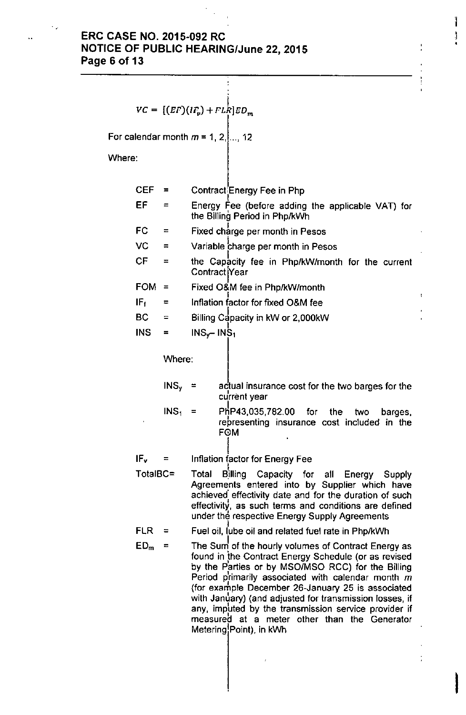# **ERC CASE NO. 2015-092 RC NOTICE OF PUBLIC HEARING/June** 22, **2015 Page 6 of 13**

 $\overline{z}$ 

$$
VC = [(EF)(IF_v) + FL_R^{\dagger}]ED_n
$$

For calendar month  $m = 1, 2, ...$ , 12

Where:

÷,

| <b>CEF</b>      | =                | Contract Energy Fee in Php                                                                                                                                                                                                                                                                                                                                                                                                                                               |  |  |  |  |  |
|-----------------|------------------|--------------------------------------------------------------------------------------------------------------------------------------------------------------------------------------------------------------------------------------------------------------------------------------------------------------------------------------------------------------------------------------------------------------------------------------------------------------------------|--|--|--|--|--|
| EF              | Ξ                | Energy Fee (before adding the applicable VAT) for<br>the Billing Period in Php/kWh                                                                                                                                                                                                                                                                                                                                                                                       |  |  |  |  |  |
| FC              | Ξ                | Fixed charge per month in Pesos                                                                                                                                                                                                                                                                                                                                                                                                                                          |  |  |  |  |  |
| VC              | ≂                | Variable charge per month in Pesos                                                                                                                                                                                                                                                                                                                                                                                                                                       |  |  |  |  |  |
| CF              | ⋍                | the Capacity fee in Php/kW/month for the current<br>Contract Year                                                                                                                                                                                                                                                                                                                                                                                                        |  |  |  |  |  |
| <b>FOM</b>      | $\equiv$         | Fixed O&M fee in Php/kW/month                                                                                                                                                                                                                                                                                                                                                                                                                                            |  |  |  |  |  |
| $IF_f$          | Ξ                | Inflation factor for fixed O&M fee                                                                                                                                                                                                                                                                                                                                                                                                                                       |  |  |  |  |  |
| <b>BC</b>       | $\equiv$         | Billing Capacity in kW or 2,000kW                                                                                                                                                                                                                                                                                                                                                                                                                                        |  |  |  |  |  |
| <b>INS</b>      | $\equiv$         | $INS_{\nu}$ - INS <sub>1</sub>                                                                                                                                                                                                                                                                                                                                                                                                                                           |  |  |  |  |  |
|                 | Where:           |                                                                                                                                                                                                                                                                                                                                                                                                                                                                          |  |  |  |  |  |
|                 | $INS_{v}$        | actual insurance cost for the two barges for the<br>- =<br>current year                                                                                                                                                                                                                                                                                                                                                                                                  |  |  |  |  |  |
|                 | INS <sub>1</sub> | PhP43,035,782.00 for the two<br>- =<br>barges,<br>representing insurance cost included in the<br>FOM                                                                                                                                                                                                                                                                                                                                                                     |  |  |  |  |  |
| IF <sub>v</sub> | Ξ                | Inflation factor for Energy Fee                                                                                                                                                                                                                                                                                                                                                                                                                                          |  |  |  |  |  |
| TotalBC=        |                  | Total<br><b>Billing</b><br>Capacity for all Energy Supply<br>Agreements entered into by Supplier which have<br>achieved effectivity date and for the duration of such<br>effectivity, as such terms and conditions are defined<br>under the respective Energy Supply Agreements                                                                                                                                                                                          |  |  |  |  |  |
| <b>FLR</b>      |                  | Fuel oil, lube oil and related fuel rate in Php/kWh                                                                                                                                                                                                                                                                                                                                                                                                                      |  |  |  |  |  |
| ED <sub>m</sub> | Ξ                | The Sum of the hourly volumes of Contract Energy as<br>found in the Contract Energy Schedule (or as revised<br>by the Parties or by MSO/MSO RCC) for the Billing<br>Period primarily associated with calendar month m<br>(for example December 26-January 25 is associated<br>with January) (and adjusted for transmission losses, if<br>any, imputed by the transmission service provider if<br>measured at a meter other than the Generator<br>Metering Point), in kWh |  |  |  |  |  |

I

Ĭ.

j.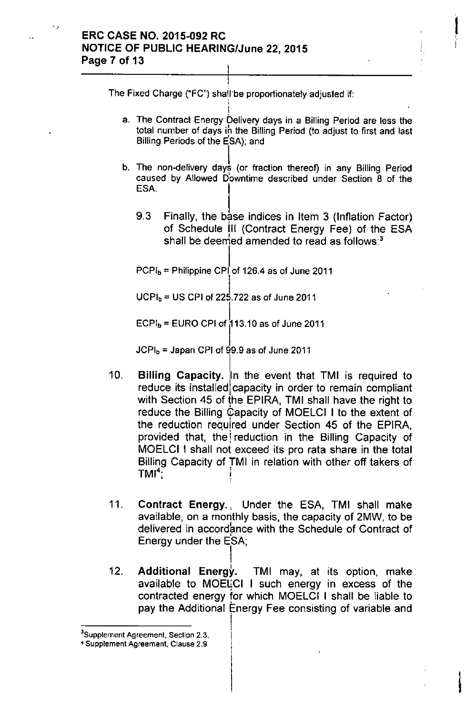.."

I The Fixed Charge ("FC") shall"be proportionately adjusted if: ;;

I a. The Contract Energy Delivery days in a Billing Period are less the total number of days ih the Billing Period (to adjust to first and last Billing Periods of the ESA); and

I

I

- b. The non-delivery days (or fraction thereof) in any Billing Period caused by Allowed Downtime described under Section 8 of the<br>ESA.
	- 9.3 Finally, the base indices in Item 3 (Inflation Factor) of Schedule III (Contract Energy Fee) of the ESA shall be deemed amended to read as follows: $3$

I  $PCPI_{b}$  = Philippine CPI of 126.4 as of June 2011

 $\pmb{\cdot}$  $\mathsf{UCPI_b}$  = US CPI of 225.722 as of June 2011

 $ECPI<sub>b</sub> = EURO CPI of  $113.10$  as of June 2011.$ 

 $JCPI<sub>b</sub>$  = Japan CPI of 99.9 as of June 2011

- 10. Billing Capacity. In the event that TMI is required to reduce its installed capacity in order to remain compliant with Section 45 of the EPIRA, TMI shall have the right to reduce the Billing Capacity of MOELCI I to the extent of the reduction required under Section 45 of the EPIRA, provided that, the reduction in the Billing Capacity of MOELCI I shall not exceed its pro rata share in the total Billing Capacity of TMI in relation with other off takers of  $TMI^4$ : . : , ,
- 11. Contract Energy. Under the ESA, TMI shall make available, on a monthly basis, the capacity of 2MW, to be delivered in accordance with the Schedule of Contract of Energy under the ESA;
- I 12. Additional Energy. TMI may, at its option, make available to MOELCI I such energy in excess of the contracted energy for which MOELCI I shall be liable to pay the Additional Energy Fee consisting of variable and

**<sup>3</sup>Supplement Agreement, Section** 2.3.

**<sup>4</sup> Supplement Agreement, Clause** 2.9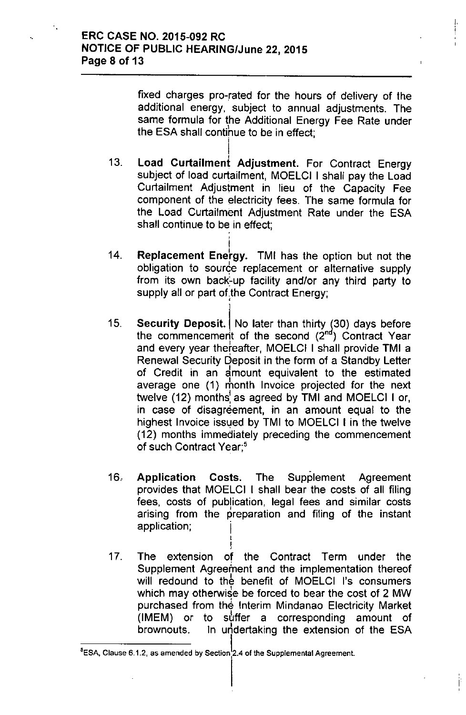fixed charges pro-rated for the hours of delivery of the additional energy, subject to annual adjustments. The same formula for the Additional Energy Fee Rate under the ESA shall contihue to be in effect; i.

I, i

> I ,

- 13. I Load Curtailment Adjustment. For Contract Energy subject of load curtailment, MOELCI I shall pay the Load Curtailment Adjustment in lieu of the Capacity Fee component of the electricity fees. The same formula for the Load Curtailment Adjustment Rate under the ESA shall continue to be in effect;
- 14. I Replacement Energy. TMI has the option but not the obligation to source replacement or alternative supply from its own back-up facility and/or any third party to supply all or part of the Contract Energy;

,

- 15. Security Deposit. No later than thirty (30) days before the commencement of the second (2<sup>nd</sup>) Contract Year and every year thefeafter, MOELCI I shall provide TMI a Renewal Security Deposit in the form of a Standby Letter of Credit in an amount equivalent to the estimated average one (1) month Invoice projected for the next twelve  $(12)$  months<sup>1</sup> as agreed by TMI and MOELCI I or, in case of disagreement, in an amount equal to the highest Invoice issued by TMI to MOELCI I in the twelve (12) months immediately preceding the commencement of such Contract Year;'
- $16.$ Application Costs. The Supplement Agreement provides that MOELCI I shall bear the costs of all filing fees, costs of publication, legal fees and similar costs , arising from the preparation and filing of the instant application; I
- j. 17. The extension of the Contract Term under the Supplement Agreement and the implementation thereof will redound to the benefit of MOELCI I's consumers which may otherwise be forced to bear the cost of 2 MW purchased from the Interim Mindanao Electricity Market (IMEM) or to sbffer a corresponding amount of brownouts. In undertaking the extension of the ESA

 ${}^{5}$ ESA, Clause 6.1.2, as amended by Section<sup>1</sup> 2.4 of the Supplemental Agreement.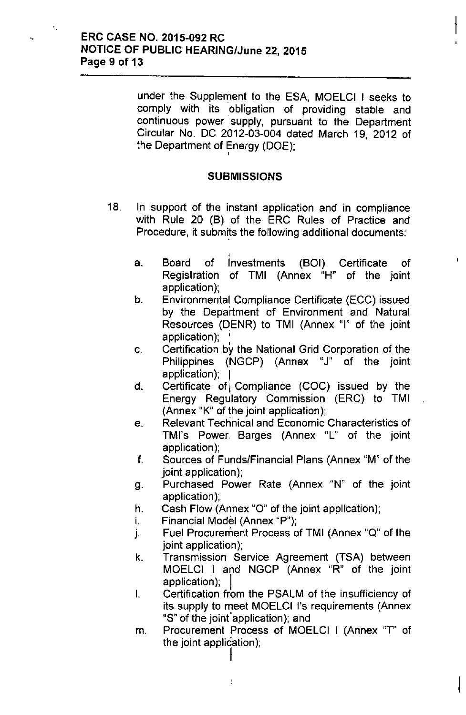under the Supplement to the ESA, MOELCI I seeks to comply with its 'obligation of providing stable and continuous power supply, pursuant to the Department Circular No. DC 2012-03-004 dated March 19, 2012 of the Department of Energy (DOE); ,

 $\mathfrak{f}% _{0}$ 

 $\mathbf{I}$ 

## **SUBMISSIONS**

- 18, In support of the instant application and in compliance with Rule 20 (B) of the ERC Rules of Practice and Procedure, it submits the following additional documents:
	- , a. Board of Investments (BOI) Certificate of Registration of TMI (Annex "H" of the joint application);
	- b. Environmental Compliance Certificate (ECC) issued by the Department of Environment and Natural Resources (DENR) to TMI (Annex "I" of the joint application); ;<br>լ
	- c, Certification by the National Grid Corporation of the Philippines (NGCP) (Annex "J" of the joint application); I
	- d. Certificate of Compliance  $(COC)$  issued by the Energy Regulatory Commission (ERC) to TMI (Annex "K" of the joint application);
	- e, Relevant Technical and Economic Characteristics of TMI's Power Barges (Annex "L" of the joint application);
	- f. Sources of Funds/Financial Plans (Annex "M" of the joint application);
	- g. Purchased Power Rate (Annex "N" of the joint application);
	- h. Cash Flow (Annex "0" of the joint application);
	- i. Financial Model (Annex "P");

I

 $\frac{1}{2}$ 

- J. Fuel Procurement Process of TMI (Annex "Q" of the joint application);
- k. Transmission Service Agreement (TSA) between MOELCI I and NGCP (Annex "R" of the joint application);
- I. Certification from the PSALM of the insufficiency of its supply to meet MOELCI I's requirements (Annex "S" of the joint'application); and
- m. Procurement Process of MOELCI I (Annex "T" of the joint application);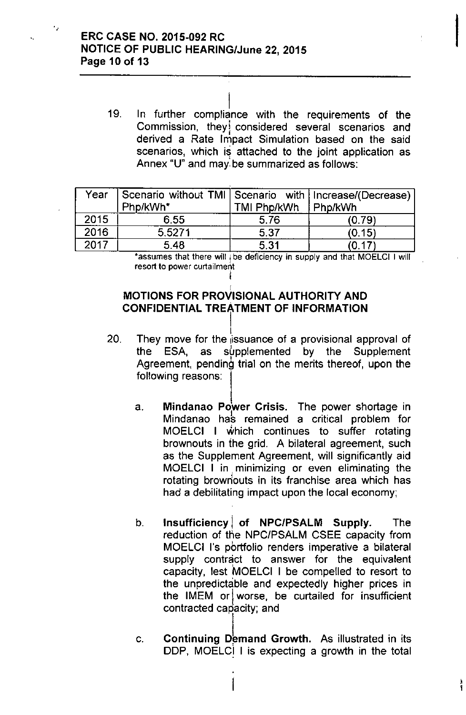٠,

 $\mathbf{I}$ 19. In further compliance with the requirements of the Commission, they considered several scenarios and derived a Rate Impact Simulation based on the said scenarios, which is attached to the joint application as Annex "U" and may:be summarized as follows:

| Year | Scenario without TMI   Scenario with   Increase/(Decrease)  <br>Php/kWh* | TMI Php/kWh | Php/kWh |
|------|--------------------------------------------------------------------------|-------------|---------|
| 2015 | 6.55                                                                     | 5.76        | (0.79)  |
| 2016 | 5.5271                                                                   | 5.37        | (0.15)  |
| 2017 | 5.48                                                                     | 5.31        |         |

\*assumes that there will I be deficiency in supply and that MOELCI I will resort to power curtailment I

### I MOTIONS FOR PROVISIONAL AUTHORITY AND **CONFIDENTIAL TREATMENT OF INFORMATION**

- İ. 20. They move for the issuance of a provisional approval of the ESA, as supplemented by the Supplement Agreement, pending trial on the merits thereof, upon the following reasons:
	- a. Mindanao Power Crisis. The power shortage in Mindanao hab remained a critical problem for MOELCI I which continues to suffer rotating brownouts in the grid. A bilateral agreement, such as the Supplement Agreement, will significantly aid MOELCI I in minimizing or even eliminating the rotating browriouts in its franchise area which has had a debilitating impact upon the local economy;
	- b. Insufficiency of NPC/PSALM Supply. The reduction of the NPC/PSALM CSEE capacity from MOELCI I's pbrtfolio renders imperative a bilateral supply contract to answer for the equivalent capacity, lest MOELCI I be compelled to resort to the unpredictable and expectedly higher prices in the IMEM or worse, be curtailed for insufficient contracted capacity; and
	- c. Continuing Demand Growth. As illustrated in its DDP, MOELCI I is expecting a growth in the total

I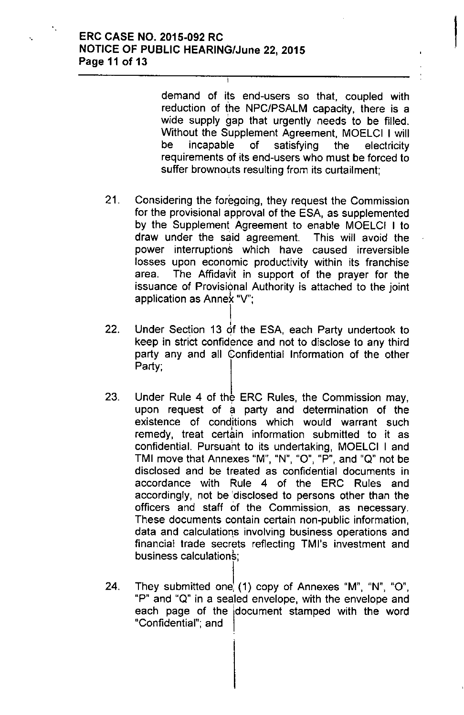## " ERC CASE NO. 2015-092 RC **NOTICE OF PUBLIC HEARING/June 22, 2015** Page 11 of 13

demand of its end-users so that, coupled with reduction of the NPC/PSALM capacity, there is a wide supply gap that urgently needs to be filled. Without the Supplement Agreement, MOELCI I will be incapable of satisfying the electricity requirements of its end-users who must be forced to suffer brownouts resulting from its curtailment;

**,** 

- 21, Considering the foregoing, they request the Commission for the provisional approval of the ESA, as supplemented by the Supplement Agreement to enable MOELCI I to draw under the said agreement. This will avoid the power interruptions which have caused irreversible losses upon economic productivity within its franchise area. The Affidavit in support of the prayer for the issuance of Provisional Authority is attached to the joint application as Annek "V";
- 22. l<br>! Under Section 13 of the ESA, each Party undertook to keep in strict confidence and not to disclose to any third party any and all Confidential Information of the other Party;
- 23. Under Rule 4 of the ERC Rules, the Commission may, upon request of a party and determination of the existence of cond<sub>i</sub>tions which would warrant such remedy, treat certain information submitted to it as confidential. Pursuant to its undertaking, MOELCI I and TMI move that Annexes "M", "N", "O", "P", and "Q" not be disclosed and be treated as confidential documents in accordance with Rule 4 of the ERC Rules and accordingly, not be 'disclosed to persons other than the officers and staff of the Commission, as necessary. These documents contain certain non-public information, data and calculations involving business operations and financial trade secrets reflecting TMJ's investment and business calculations;
- 24. They submitted one, (1) copy of Annexes "M", "N", "O", "P" and "Q" in a sealed envelope, with the envelope and each page of the document stamped with the word "Confidential"; and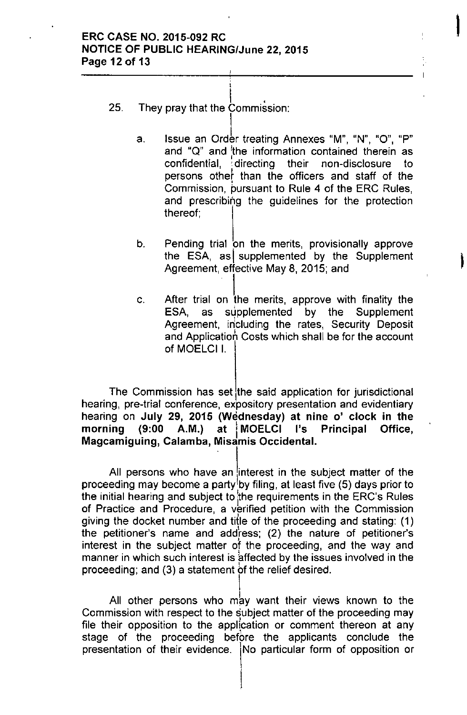## ERC CASE NO. 2015-092 RC NOTICE OF PUBLIC HEARING/June 22, 2015 Page 12 of 13

- $\begin{matrix} \cdot & \cdot & \cdot \\ \cdot & \cdot & \cdot \end{matrix}$ 25. They pray that the Commission:
	- a. Issue an Order treating Annexes "M", "N", "O", "P" and " $Q$ " and the information contained therein as confidential, .directing their non-disclosure to persons othef than the officers and staff of the • Commission, pursuant to Rule 4 of the ERC Rules, and prescribing the guidelines for the protection thereof;

I

I

- b. Pending trial on the merits, provisionally approve the ESA, as supplemented by the Supplement Agreement, effective May 8, 2015; and
- c. After trial on the merits, approve with finality the ESA, as supplemented by the Supplement supplemented by the Agreement, including the rates, Security Deposit and Application Costs which shall be for the account of MOELCII.

The Commission has set the said application for jurisdictional hearing, pre-trial conference, expository presentation and evidentiary hearing on July 29, 2015 (Wednesday) at nine o' clock in the morning (9:00 A.M.) at MOELCI I's Principal Office, Magcamiguing, Calamba, Misamis Occidental.

All persons who have an interest in the subject matter of the proceeding may become a party<sup>t</sup> by filing, at least five (5) days prior to the initial hearing and subject to the requirements in the ERC's Rules of Practice and Procedure, a verified petition with the Commission giving the docket number and title of the proceeding and stating: (1) the petitioner's name and address;  $(2)$  the nature of petitioner's interest in the subject matter of the proceeding, and the way and manner in which such interest is affected by the issues involved in the proceeding; and (3) a statement *bf* the relief desired.

All other persons who may want their views known to the Commission with respect to the subject matter of the proceeding may file their opposition to the application or comment thereon at any stage of the proceeding before the applicants conclude the presentation of their evidence. No particular form of opposition or

I

I